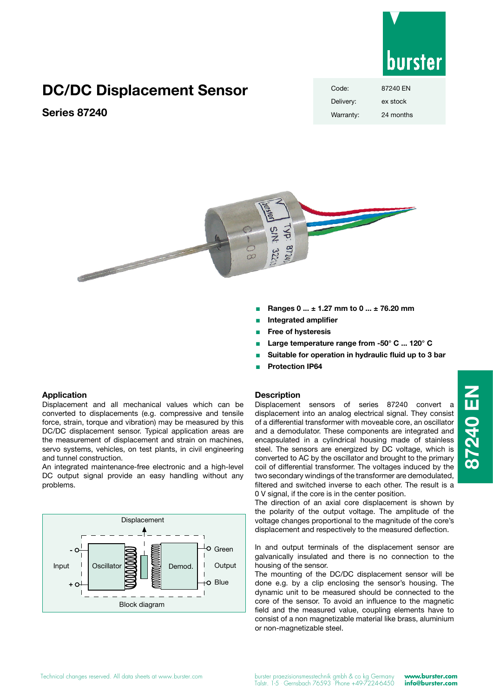

# **DC/DC Displacement Sensor**

## **Series 87240**

| Code:     | 87240 EN  |
|-----------|-----------|
| Delivery: | ex stock  |
| Warranty: | 24 months |



- <sup>Q</sup> **Ranges 0 ... ± 1.27 mm to 0 ... ± 76.20 mm**
- <sup>Q</sup> **Integrated amplifier**
- <sup>Q</sup> **Free of hysteresis**
- <sup>Q</sup> **Large temperature range from -50° C ... 120° C**
- Suitable for operation in hydraulic fluid up to 3 bar
- <sup>Q</sup> **Protection IP64**

### **Application**

Displacement and all mechanical values which can be converted to displacements (e.g. compressive and tensile force, strain, torque and vibration) may be measured by this DC/DC displacement sensor. Typical application areas are the measurement of displacement and strain on machines, servo systems, vehicles, on test plants, in civil engineering and tunnel construction.

An integrated maintenance-free electronic and a high-level DC output signal provide an easy handling without any problems.



## **Description**

Displacement sensors of series 87240 convert a displacement into an analog electrical signal. They consist of a differential transformer with moveable core, an oscillator and a demodulator. These components are integrated and encapsulated in a cylindrical housing made of stainless steel. The sensors are energized by DC voltage, which is converted to AC by the oscillator and brought to the primary coil of differential transformer. The voltages induced by the two secondary windings of the transformer are demodulated, filtered and switched inverse to each other. The result is a 0 V signal, if the core is in the center position.

The direction of an axial core displacement is shown by the polarity of the output voltage. The amplitude of the voltage changes proportional to the magnitude of the core's displacement and respectively to the measured deflection.

In and output terminals of the displacement sensor are galvanically insulated and there is no connection to the housing of the sensor.

The mounting of the DC/DC displacement sensor will be done e.g. by a clip enclosing the sensor's housing. The dynamic unit to be measured should be connected to the core of the sensor. To avoid an influence to the magnetic field and the measured value, coupling elements have to consist of a non magnetizable material like brass, aluminium or non-magnetizable steel.